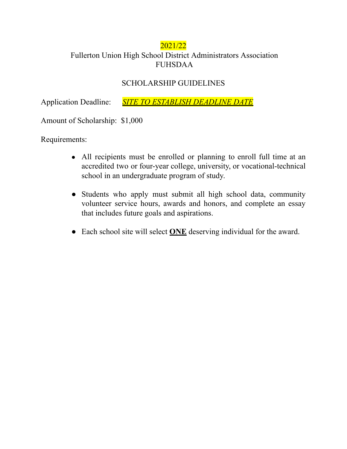## 2021/22

## Fullerton Union High School District Administrators Association FUHSDAA

## SCHOLARSHIP GUIDELINES

Application Deadline: *SITE TO ESTABLISH DEADLINE DATE*

Amount of Scholarship: \$1,000

Requirements:

- All recipients must be enrolled or planning to enroll full time at an accredited two or four-year college, university, or vocational-technical school in an undergraduate program of study.
- Students who apply must submit all high school data, community volunteer service hours, awards and honors, and complete an essay that includes future goals and aspirations.
- Each school site will select **ONE** deserving individual for the award.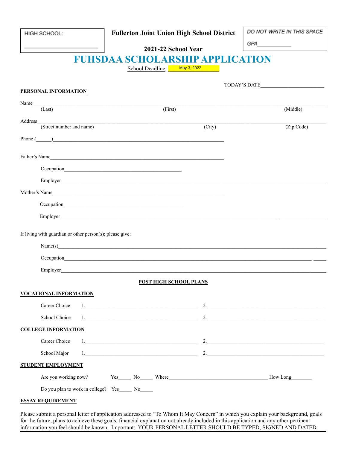| HIGH SCHOOL: |
|--------------|
|--------------|

### **Fullerton Joint Union High School District**

DO NOT WRITE IN THIS SPACE

GPA

# **FUHSDAA SCHOLARSHIP APPLICATION**

School Deadline: May 3, 2022

| PERSONAL INFORMATION                                                                                                                                                                                                                                 |                     |                                                                                                                                                                                                                                                                                                                                                                                                                  |  |  |
|------------------------------------------------------------------------------------------------------------------------------------------------------------------------------------------------------------------------------------------------------|---------------------|------------------------------------------------------------------------------------------------------------------------------------------------------------------------------------------------------------------------------------------------------------------------------------------------------------------------------------------------------------------------------------------------------------------|--|--|
| Name<br><u> 1989 - Johann Stein, Amerikaansk politiker († 1908)</u><br>(First)<br>(Last)                                                                                                                                                             |                     | (Middle)                                                                                                                                                                                                                                                                                                                                                                                                         |  |  |
|                                                                                                                                                                                                                                                      |                     |                                                                                                                                                                                                                                                                                                                                                                                                                  |  |  |
| Address<br>(Street number and name)                                                                                                                                                                                                                  | $\overline{(City)}$ | (Zip Code)                                                                                                                                                                                                                                                                                                                                                                                                       |  |  |
| Phone $\qquad \qquad$                                                                                                                                                                                                                                |                     |                                                                                                                                                                                                                                                                                                                                                                                                                  |  |  |
|                                                                                                                                                                                                                                                      |                     |                                                                                                                                                                                                                                                                                                                                                                                                                  |  |  |
| Father's Name                                                                                                                                                                                                                                        |                     |                                                                                                                                                                                                                                                                                                                                                                                                                  |  |  |
|                                                                                                                                                                                                                                                      |                     |                                                                                                                                                                                                                                                                                                                                                                                                                  |  |  |
|                                                                                                                                                                                                                                                      |                     |                                                                                                                                                                                                                                                                                                                                                                                                                  |  |  |
| Mother's Name                                                                                                                                                                                                                                        |                     |                                                                                                                                                                                                                                                                                                                                                                                                                  |  |  |
|                                                                                                                                                                                                                                                      |                     |                                                                                                                                                                                                                                                                                                                                                                                                                  |  |  |
|                                                                                                                                                                                                                                                      |                     |                                                                                                                                                                                                                                                                                                                                                                                                                  |  |  |
| Name(s)<br>Occupation experience and the contract of the contract of the contract of the contract of the contract of the contract of the contract of the contract of the contract of the contract of the contract of the contract of the<br>Employer |                     |                                                                                                                                                                                                                                                                                                                                                                                                                  |  |  |
| <b>POST HIGH SCHOOL PLANS</b>                                                                                                                                                                                                                        |                     |                                                                                                                                                                                                                                                                                                                                                                                                                  |  |  |
| <b>VOCATIONAL INFORMATION</b>                                                                                                                                                                                                                        |                     |                                                                                                                                                                                                                                                                                                                                                                                                                  |  |  |
| Career Choice                                                                                                                                                                                                                                        |                     |                                                                                                                                                                                                                                                                                                                                                                                                                  |  |  |
| School Choice                                                                                                                                                                                                                                        | 2.                  | <u> 1989 - Johann Stein, mars an deus Amerikaansk kommunister (</u>                                                                                                                                                                                                                                                                                                                                              |  |  |
| <b>COLLEGE INFORMATION</b>                                                                                                                                                                                                                           |                     |                                                                                                                                                                                                                                                                                                                                                                                                                  |  |  |
| Career Choice                                                                                                                                                                                                                                        |                     | 2. $\frac{1}{\sqrt{1-\frac{1}{2}}\sqrt{1-\frac{1}{2}}\sqrt{1-\frac{1}{2}}\sqrt{1-\frac{1}{2}}\sqrt{1-\frac{1}{2}}\sqrt{1-\frac{1}{2}}\sqrt{1-\frac{1}{2}}\sqrt{1-\frac{1}{2}}\sqrt{1-\frac{1}{2}}\sqrt{1-\frac{1}{2}}\sqrt{1-\frac{1}{2}}\sqrt{1-\frac{1}{2}}\sqrt{1-\frac{1}{2}}\sqrt{1-\frac{1}{2}}\sqrt{1-\frac{1}{2}}\sqrt{1-\frac{1}{2}}\sqrt{1-\frac{1}{2}}\sqrt{1-\frac{1}{2}}\sqrt{1-\frac{1}{2}}\sqrt{$ |  |  |
| School Major                                                                                                                                                                                                                                         |                     | 2.                                                                                                                                                                                                                                                                                                                                                                                                               |  |  |
| <b>STUDENT EMPLOYMENT</b>                                                                                                                                                                                                                            |                     |                                                                                                                                                                                                                                                                                                                                                                                                                  |  |  |
|                                                                                                                                                                                                                                                      |                     |                                                                                                                                                                                                                                                                                                                                                                                                                  |  |  |
| Do you plan to work in college? Yes<br>$No$ <sub>______</sub>                                                                                                                                                                                        |                     |                                                                                                                                                                                                                                                                                                                                                                                                                  |  |  |

#### **ESSAY REQUIREMENT**

Please submit a personal letter of application addressed to "To Whom It May Concern" in which you explain your background, goals for the future, plans to achieve these goals, financial explanation not already included in this application and any other pertinent information you feel should be known. Important: YOUR PERSONAL LETTER SHOULD BE TYPED, SIGNED AND DATED.